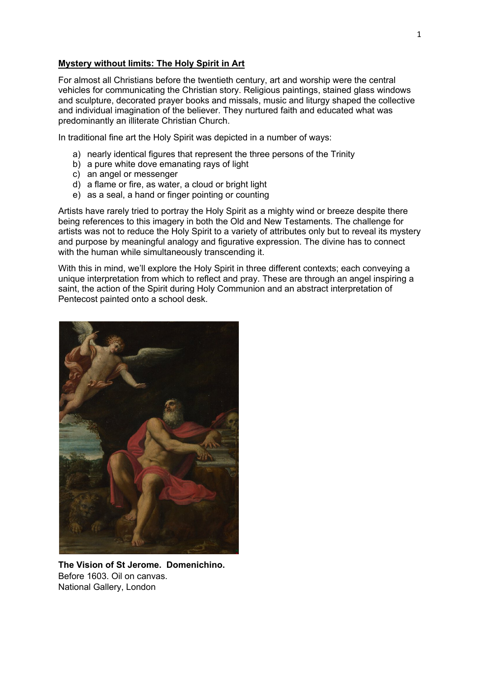#### **Mystery without limits: The Holy Spirit in Art**

For almost all Christians before the twentieth century, art and worship were the central vehicles for communicating the Christian story. Religious paintings, stained glass windows and sculpture, decorated prayer books and missals, music and liturgy shaped the collective and individual imagination of the believer. They nurtured faith and educated what was predominantly an illiterate Christian Church.

In traditional fine art the Holy Spirit was depicted in a number of ways:

- a) nearly identical figures that represent the three persons of the Trinity
- b) a pure white dove emanating rays of light
- c) an angel or messenger
- d) a flame or fire, as water, a cloud or bright light
- e) as a seal, a hand or finger pointing or counting

Artists have rarely tried to portray the Holy Spirit as a mighty wind or breeze despite there being references to this imagery in both the Old and New Testaments. The challenge for artists was not to reduce the Holy Spirit to a variety of attributes only but to reveal its mystery and purpose by meaningful analogy and figurative expression. The divine has to connect with the human while simultaneously transcending it.

With this in mind, we'll explore the Holy Spirit in three different contexts; each conveying a unique interpretation from which to reflect and pray. These are through an angel inspiring a saint, the action of the Spirit during Holy Communion and an abstract interpretation of Pentecost painted onto a school desk.



**The Vision of St Jerome. Domenichino.** Before 1603. Oil on canvas. National Gallery, London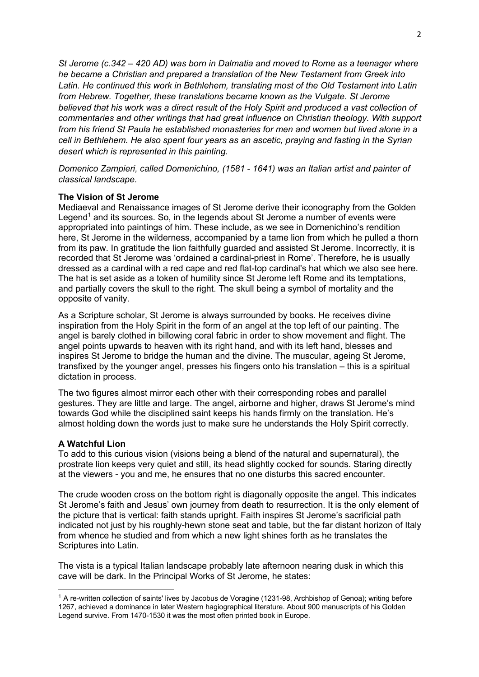*St Jerome (c.342 – 420 AD) was born in Dalmatia and moved to Rome as a teenager where he became a Christian and prepared a translation of the New Testament from Greek into Latin. He continued this work in Bethlehem, translating most of the Old Testament into Latin from Hebrew. Together, these translations became known as the Vulgate. St Jerome believed that his work was a direct result of the Holy Spirit and produced a vast collection of commentaries and other writings that had great influence on Christian theology. With support from his friend St Paula he established monasteries for men and women but lived alone in a cell in Bethlehem. He also spent four years as an ascetic, praying and fasting in the Syrian desert which is represented in this painting.*

*Domenico Zampieri, called Domenichino, (1581 - 1641) was an Italian artist and painter of classical landscape.*

## **The Vision of St Jerome**

Mediaeval and Renaissance images of St Jerome derive their iconography from the Golden Legend<sup>1</sup> and its sources. So, in the legends about St Jerome a number of events were appropriated into paintings of him. These include, as we see in Domenichino's rendition here, St Jerome in the wilderness, accompanied by a tame lion from which he pulled a thorn from its paw. In gratitude the lion faithfully guarded and assisted St Jerome. Incorrectly, it is recorded that St Jerome was 'ordained a cardinal-priest in Rome'. Therefore, he is usually dressed as a cardinal with a red cape and red flat-top cardinal's hat which we also see here. The hat is set aside as a token of humility since St Jerome left Rome and its temptations, and partially covers the skull to the right. The skull being a symbol of mortality and the opposite of vanity.

As a Scripture scholar, St Jerome is always surrounded by books. He receives divine inspiration from the Holy Spirit in the form of an angel at the top left of our painting. The angel is barely clothed in billowing coral fabric in order to show movement and flight. The angel points upwards to heaven with its right hand, and with its left hand, blesses and inspires St Jerome to bridge the human and the divine. The muscular, ageing St Jerome, transfixed by the younger angel, presses his fingers onto his translation – this is a spiritual dictation in process.

The two figures almost mirror each other with their corresponding robes and parallel gestures. They are little and large. The angel, airborne and higher, draws St Jerome's mind towards God while the disciplined saint keeps his hands firmly on the translation. He's almost holding down the words just to make sure he understands the Holy Spirit correctly.

# **A Watchful Lion**

To add to this curious vision (visions being a blend of the natural and supernatural), the prostrate lion keeps very quiet and still, its head slightly cocked for sounds. Staring directly at the viewers - you and me, he ensures that no one disturbs this sacred encounter.

The crude wooden cross on the bottom right is diagonally opposite the angel. This indicates St Jerome's faith and Jesus' own journey from death to resurrection. It is the only element of the picture that is vertical: faith stands upright. Faith inspires St Jerome's sacrificial path indicated not just by his roughly-hewn stone seat and table, but the far distant horizon of Italy from whence he studied and from which a new light shines forth as he translates the Scriptures into Latin.

The vista is a typical Italian landscape probably late afternoon nearing dusk in which this cave will be dark. In the Principal Works of St Jerome, he states:

 $1$  A re-written collection of saints' lives by Jacobus de Voragine (1231-98, Archbishop of Genoa); writing before 1267, achieved a dominance in later Western hagiographical literature. About 900 manuscripts of his Golden Legend survive. From 1470-1530 it was the most often printed book in Europe.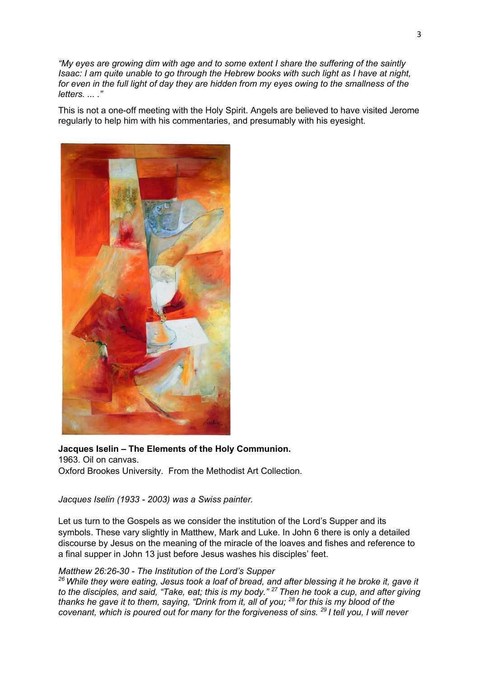*"My eyes are growing dim with age and to some extent I share the suffering of the saintly Isaac: I am quite unable to go through the Hebrew books with such light as I have at night, for even in the full light of day they are hidden from my eyes owing to the smallness of the letters. ... ."*

This is not a one-off meeting with the Holy Spirit. Angels are believed to have visited Jerome regularly to help him with his commentaries, and presumably with his eyesight.



**Jacques Iselin** *–* **The Elements of the Holy Communion.** 1963. Oil on canvas. Oxford Brookes University. From the Methodist Art Collection.

*Jacques Iselin (1933 - 2003) was a Swiss painter.*

Let us turn to the Gospels as we consider the institution of the Lord's Supper and its symbols. These vary slightly in Matthew, Mark and Luke. In John 6 there is only a detailed discourse by Jesus on the meaning of the miracle of the loaves and fishes and reference to a final supper in John 13 just before Jesus washes his disciples' feet.

## *Matthew 26:26-30 - The Institution of the Lord's Supper*

*<sup>26</sup> While they were eating, Jesus took a loaf of bread, and after blessing it he broke it, gave it to the disciples, and said, "Take, eat; this is my body." <sup>27</sup> Then he took a cup, and after giving thanks he gave it to them, saying, "Drink from it, all of you; <sup>28</sup> for this is my blood of the covenant, which is poured out for many for the forgiveness of sins. 29 I tell you, I will never*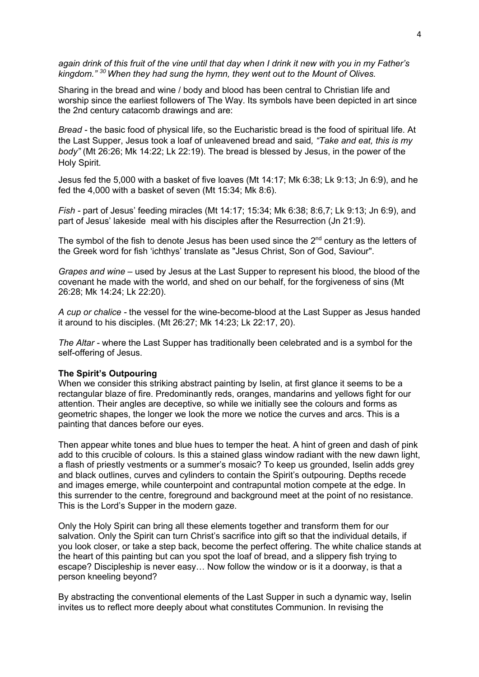*again drink of this fruit of the vine until that day when I drink it new with you in my Father's kingdom." <sup>30</sup> When they had sung the hymn, they went out to the Mount of Olives.*

Sharing in the bread and wine / body and blood has been central to Christian life and worship since the earliest followers of The Way. Its symbols have been depicted in art since the 2nd century catacomb drawings and are:

*Bread -* the basic food of physical life, so the Eucharistic bread is the food of spiritual life. At the Last Supper, Jesus took a loaf of unleavened bread and said*, "Take and eat, this is my body"* (Mt 26:26; Mk 14:22; Lk 22:19). The bread is blessed by Jesus, in the power of the Holy Spirit.

Jesus fed the 5,000 with a basket of five loaves (Mt 14:17; Mk 6:38; Lk 9:13; Jn 6:9), and he fed the 4,000 with a basket of seven (Mt 15:34; Mk 8:6).

*Fish -* part of Jesus' feeding miracles (Mt 14:17; 15:34; Mk 6:38; 8:6,7; Lk 9:13; Jn 6:9), and part of Jesus' lakeside meal with his disciples after the Resurrection (Jn 21:9).

The symbol of the fish to denote Jesus has been used since the  $2<sup>nd</sup>$  century as the letters of the Greek word for fish 'ichthys' translate as "Jesus Christ, Son of God, Saviour".

*Grapes and wine* – used by Jesus at the Last Supper to represent his blood, the blood of the covenant he made with the world, and shed on our behalf, for the forgiveness of sins (Mt 26:28; Mk 14:24; Lk 22:20).

*A cup or chalice -* the vessel for the wine-become-blood at the Last Supper as Jesus handed it around to his disciples. (Mt 26:27; Mk 14:23; Lk 22:17, 20).

*The Altar -* where the Last Supper has traditionally been celebrated and is a symbol for the self-offering of Jesus.

# **The Spirit's Outpouring**

When we consider this striking abstract painting by Iselin, at first glance it seems to be a rectangular blaze of fire. Predominantly reds, oranges, mandarins and yellows fight for our attention. Their angles are deceptive, so while we initially see the colours and forms as geometric shapes, the longer we look the more we notice the curves and arcs. This is a painting that dances before our eyes.

Then appear white tones and blue hues to temper the heat. A hint of green and dash of pink add to this crucible of colours. Is this a stained glass window radiant with the new dawn light, a flash of priestly vestments or a summer's mosaic? To keep us grounded, Iselin adds grey and black outlines, curves and cylinders to contain the Spirit's outpouring. Depths recede and images emerge, while counterpoint and contrapuntal motion compete at the edge. In this surrender to the centre, foreground and background meet at the point of no resistance. This is the Lord's Supper in the modern gaze.

Only the Holy Spirit can bring all these elements together and transform them for our salvation. Only the Spirit can turn Christ's sacrifice into gift so that the individual details, if you look closer, or take a step back, become the perfect offering. The white chalice stands at the heart of this painting but can you spot the loaf of bread, and a slippery fish trying to escape? Discipleship is never easy… Now follow the window or is it a doorway, is that a person kneeling beyond?

By abstracting the conventional elements of the Last Supper in such a dynamic way, Iselin invites us to reflect more deeply about what constitutes Communion. In revising the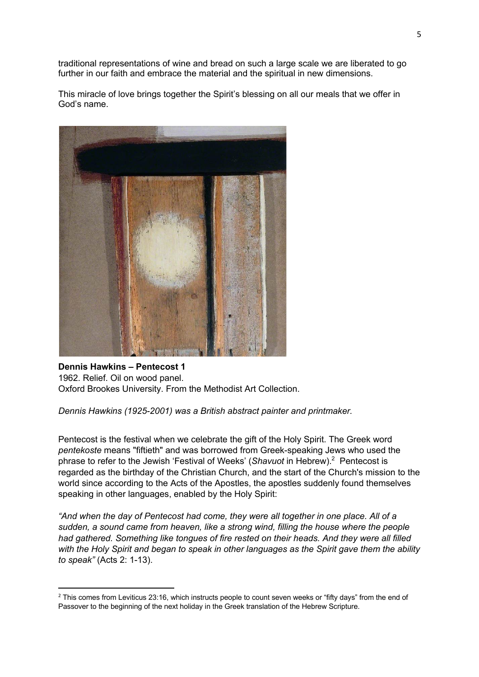traditional representations of wine and bread on such a large scale we are liberated to go further in our faith and embrace the material and the spiritual in new dimensions.

This miracle of love brings together the Spirit's blessing on all our meals that we offer in God's name.



# **Dennis Hawkins** *–* **Pentecost 1** 1962. Relief. Oil on wood panel. Oxford Brookes University. From the Methodist Art Collection.

*Dennis Hawkins (1925-2001) was a British abstract painter and printmaker.* 

Pentecost is the festival when we celebrate the gift of the Holy Spirit. The Greek word *pentekoste* means "fiftieth" and was borrowed from Greek-speaking Jews who used the phrase to refer to the Jewish 'Festival of Weeks' (*Shavuot* in Hebrew).<sup>2</sup> Pentecost is regarded as the birthday of the Christian Church, and the start of the Church's mission to the world since according to the Acts of the Apostles, the apostles suddenly found themselves speaking in other languages, enabled by the Holy Spirit:

*"And when the day of Pentecost had come, they were all together in one place. All of a sudden, a sound came from heaven, like a strong wind, filling the house where the people had gathered. Something like tongues of fire rested on their heads. And they were all filled with the Holy Spirit and began to speak in other languages as the Spirit gave them the ability to speak"* (Acts 2: 1-13).

<sup>&</sup>lt;sup>2</sup> This comes from Leviticus 23:16, which instructs people to count seven weeks or "fifty days" from the end of Passover to the beginning of the next holiday in the Greek translation of the Hebrew Scripture.